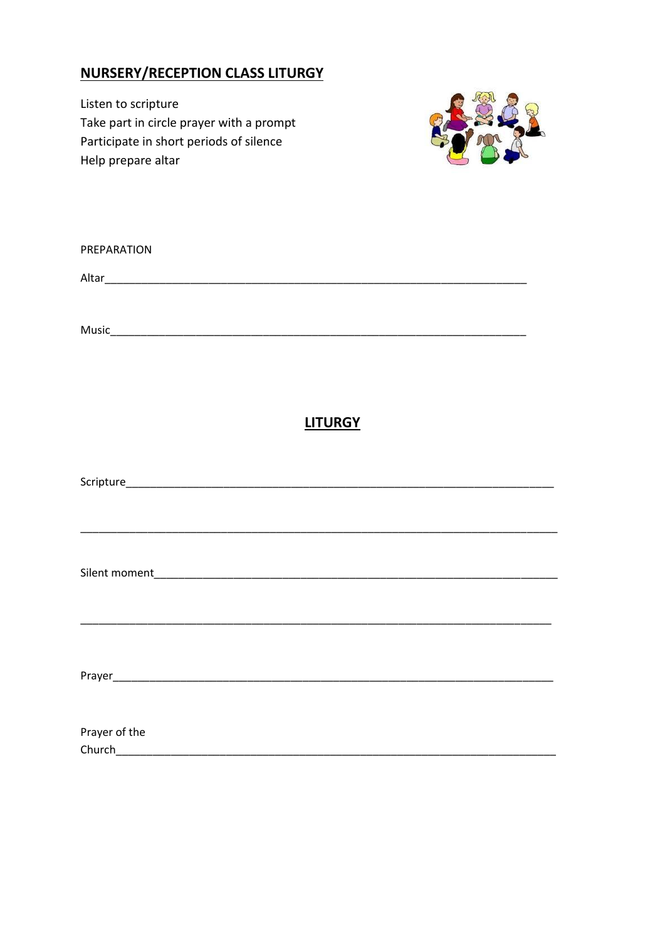### **NURSERY/RECEPTION CLASS LITURGY**

Listen to scripture Take part in circle prayer with a prompt Participate in short periods of silence Help prepare altar



| PREPARATION   |                                                                                                                     |  |
|---------------|---------------------------------------------------------------------------------------------------------------------|--|
|               |                                                                                                                     |  |
|               |                                                                                                                     |  |
|               |                                                                                                                     |  |
|               | <b>LITURGY</b>                                                                                                      |  |
|               |                                                                                                                     |  |
|               |                                                                                                                     |  |
|               |                                                                                                                     |  |
|               | <u> 1989 - Johann John Stoff, deutscher Stoffen und der Stoffen und der Stoffen und der Stoffen und der Stoffen</u> |  |
|               |                                                                                                                     |  |
|               |                                                                                                                     |  |
| Prayer of the |                                                                                                                     |  |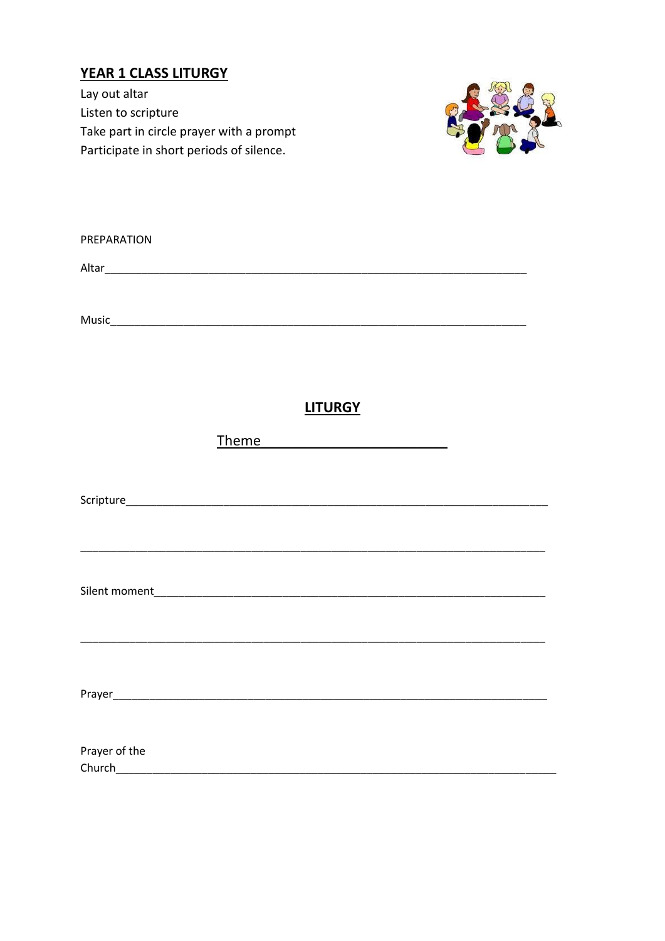# **YEAR 1 CLASS LITURGY**

Lay out altar Listen to scripture Take part in circle prayer with a prompt Participate in short periods of silence.



| PREPARATION |  |
|-------------|--|
| Altar       |  |
|             |  |
| Music       |  |

#### **LITURGY**

**Theme** 

| Prayer of the |  |  |  |
|---------------|--|--|--|
| Church        |  |  |  |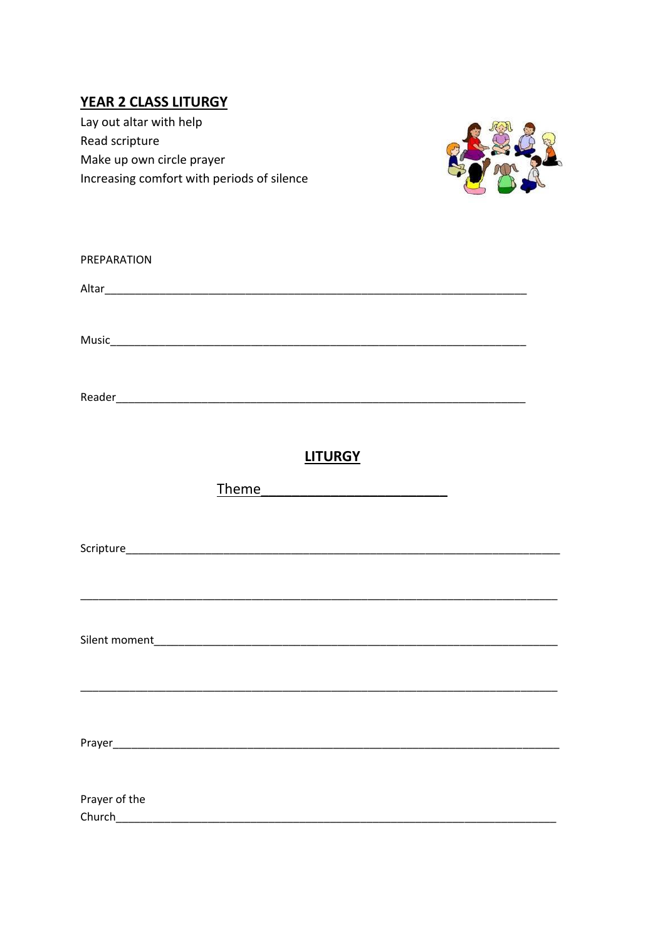### **YEAR 2 CLASS LITURGY**

Lay out altar with help Read scripture Make up own circle prayer Increasing comfort with periods of silence



| PREPARATION   |                                                                                                                                                                                                                                      |  |
|---------------|--------------------------------------------------------------------------------------------------------------------------------------------------------------------------------------------------------------------------------------|--|
|               |                                                                                                                                                                                                                                      |  |
|               |                                                                                                                                                                                                                                      |  |
|               |                                                                                                                                                                                                                                      |  |
|               |                                                                                                                                                                                                                                      |  |
|               |                                                                                                                                                                                                                                      |  |
|               | <b>LITURGY</b>                                                                                                                                                                                                                       |  |
|               | Theme <b>that the contract of the contract of the contract of the contract of the contract of the contract of the contract of the contract of the contract of the contract of the contract of the contract of the contract of th</b> |  |
|               |                                                                                                                                                                                                                                      |  |
|               |                                                                                                                                                                                                                                      |  |
|               | <u> 1989 - Johann Stoff, amerikansk politiker (d. 1989)</u>                                                                                                                                                                          |  |
|               |                                                                                                                                                                                                                                      |  |
|               |                                                                                                                                                                                                                                      |  |
|               |                                                                                                                                                                                                                                      |  |
|               |                                                                                                                                                                                                                                      |  |
|               |                                                                                                                                                                                                                                      |  |
|               |                                                                                                                                                                                                                                      |  |
| Prayer of the |                                                                                                                                                                                                                                      |  |
|               |                                                                                                                                                                                                                                      |  |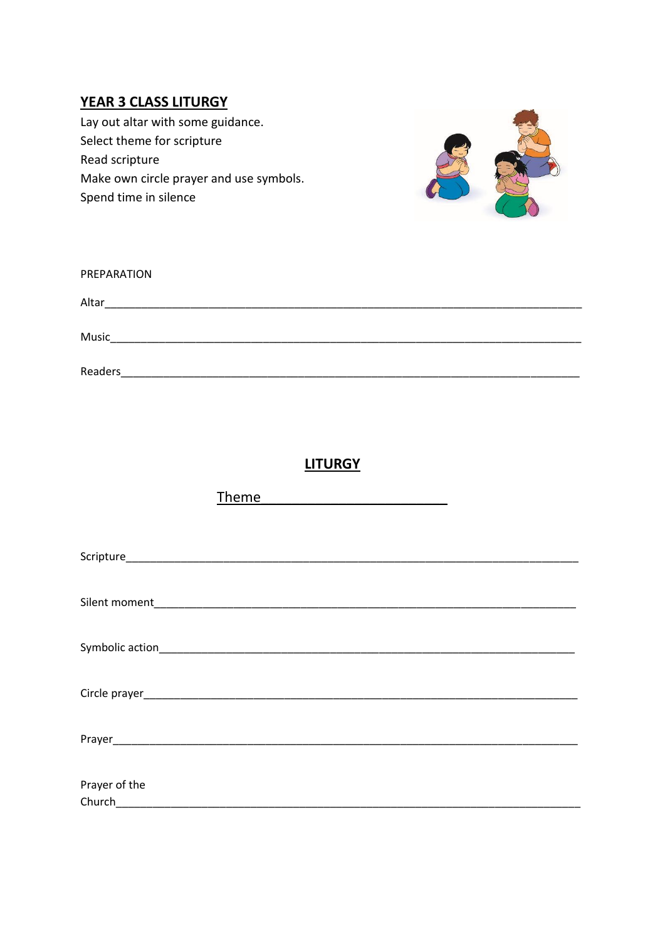### **YEAR 3 CLASS LITURGY**

Lay out altar with some guidance. Select theme for scripture Read scripture Make own circle prayer and use symbols. Spend time in silence



| PREPARATION    |  |
|----------------|--|
| Altar          |  |
| Music          |  |
| <b>Readers</b> |  |

## **LITURGY**

|               | Theme |  |
|---------------|-------|--|
|               |       |  |
|               |       |  |
|               |       |  |
|               |       |  |
|               |       |  |
|               |       |  |
|               |       |  |
|               |       |  |
|               |       |  |
|               |       |  |
|               |       |  |
|               |       |  |
|               |       |  |
| Prayer of the |       |  |
| Church        |       |  |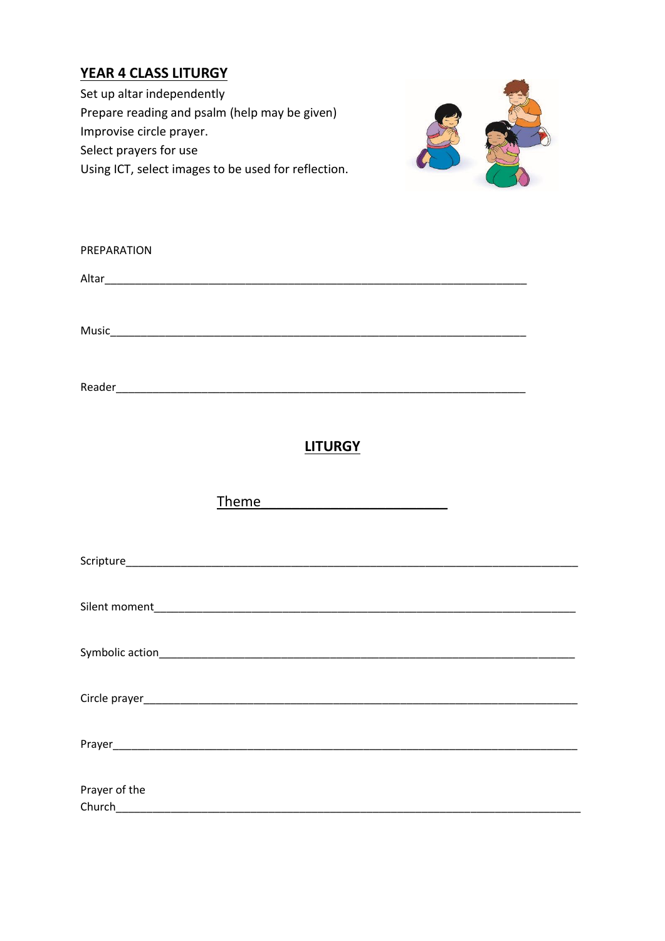## **YEAR 4 CLASS LITURGY**

Set up altar independently Prepare reading and psalm (help may be given) Improvise circle prayer. Select prayers for use Using ICT, select images to be used for reflection.



| PREPARATION                             |  |
|-----------------------------------------|--|
|                                         |  |
|                                         |  |
|                                         |  |
| <b>LITURGY</b>                          |  |
| Th <u>eme _________________________</u> |  |
|                                         |  |
|                                         |  |
|                                         |  |
|                                         |  |
|                                         |  |
| Prayer of the                           |  |